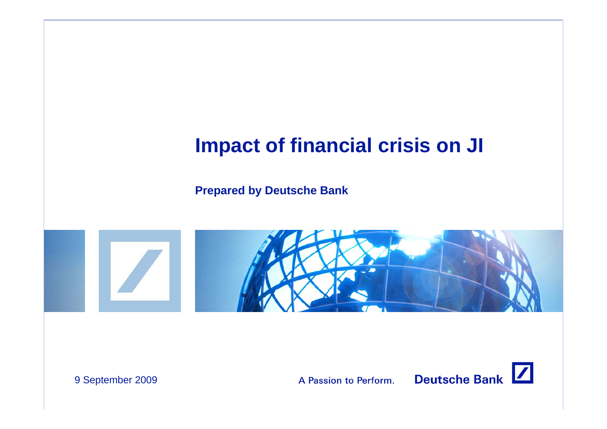# **Impact of financial crisis on JI**

**Prepared by Deutsche Bank**





9 September 2009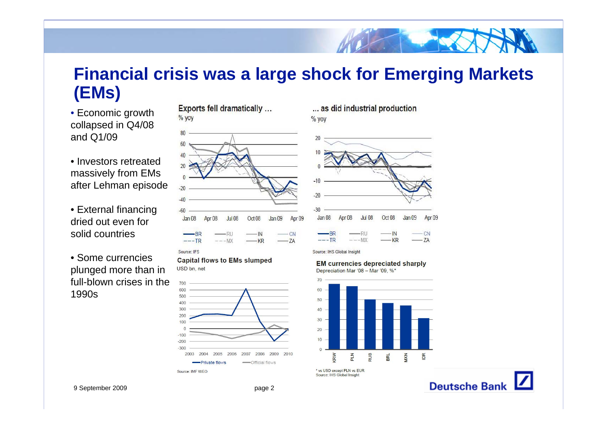## **Financial crisis was a large shock for Emerging Markets (EMs)**

• Economic growth collapsed in Q4/08 and Q1/09

- Investors retreated massively from EMs after Lehman episode
- External financing dried out even for solid countries
- Some currencies plunged more than in full-blown crises in the 1990s

Exports fell dramatically ...  $%$  yoy



Source: IFS

**Capital flows to EMs slumped** USD bn. net



... as did industrial production  $%$  yoy



Source: IHS Global Insight

**EM currencies depreciated sharply** 



\* vs USD except PLN vs EUR Source: IHS Global Insight

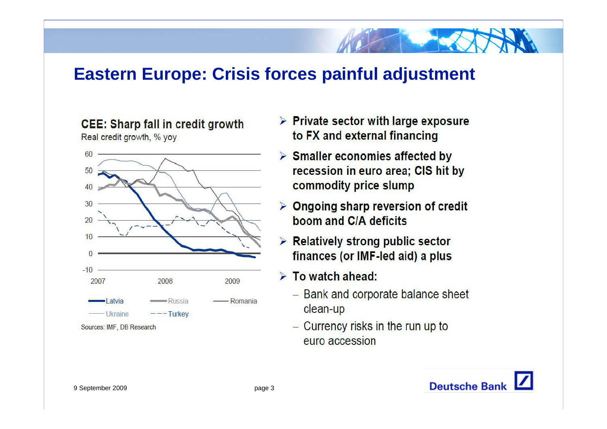## **Eastern Europe: Crisis forces painful adjustment**

#### **CEE: Sharp fall in credit growth**



Real credit growth, % yoy

- $\triangleright$  Private sector with large exposure to FX and external financing
- $\triangleright$  Smaller economies affected by recession in euro area; CIS hit by commodity price slump
- $\triangleright$  Ongoing sharp reversion of credit boom and C/A deficits
- $\triangleright$  Relatively strong public sector finances (or IMF-led aid) a plus
- $\triangleright$  To watch ahead:
	- Bank and corporate balance sheet clean-up
	- $-$  Currency risks in the run up to euro accession

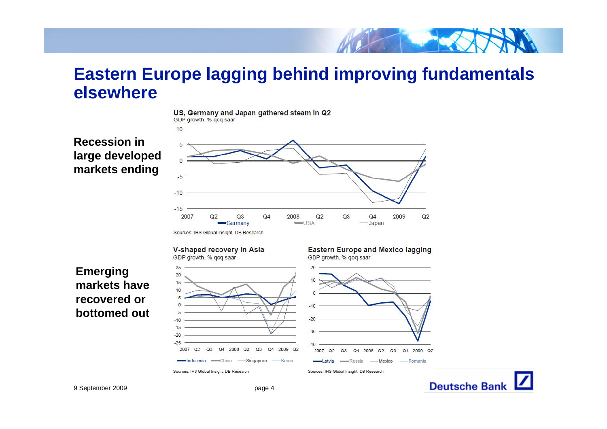### **Eastern Europe lagging behind improving fundamentals elsewhere**



#### **Recession in large developed markets ending**

 $10$ 

2007

 $Q<sub>2</sub>$  $Q<sub>3</sub>$ 



**Emerging markets have recovered or bottomed out**

Q4 2009 Q2

 $-40$ 

2007 Q2

 $Q3$ 

Q4 2008 Q2 Q3 Q4 2009 Q2

Latvia - Russia - Mexico - Romania



 $Q3$ 

Q4 2008 Q2

Sources: IHS Global Insight, DB Research Sources: IHS Global Insight, DB Research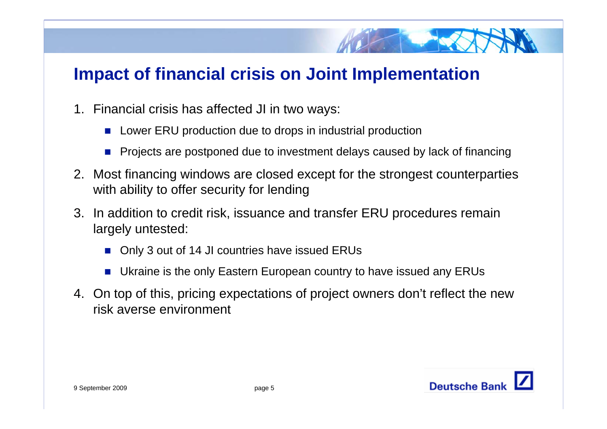## **Impact of financial crisis on Joint Implementation**

- 1. Financial crisis has affected JI in two ways:
	- $\mathcal{C}^{\mathcal{A}}$ Lower ERU production due to drops in industrial production
	- $\mathcal{C}^{\mathcal{A}}$ Projects are postponed due to investment delays caused by lack of financing
- 2. Most financing windows are closed except for the strongest counterparties with ability to offer security for lending
- 3. In addition to credit risk, issuance and transfer ERU procedures remain largely untested:
	- P. Only 3 out of 14 JI countries have issued ERUs
	- Ukraine is the only Eastern European country to have issued any ERUs
- 4. On top of this, pricing expectations of project owners don't reflect the new risk averse environment

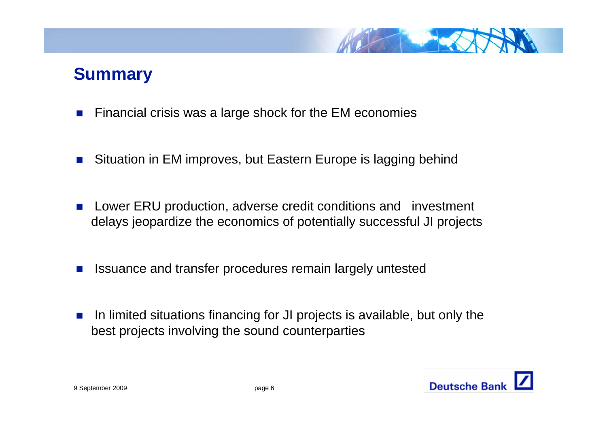

## **Summary**

- П Financial crisis was a large shock for the EM economies
- $\sim$ Situation in EM improves, but Eastern Europe is lagging behind
- П Lower ERU production, adverse credit conditions and investment delays jeopardize the economics of potentially successful JI projects
- П Issuance and transfer procedures remain largely untested
- $\sim$  In limited situations financing for JI projects is available, but only the best projects involving the sound counterparties